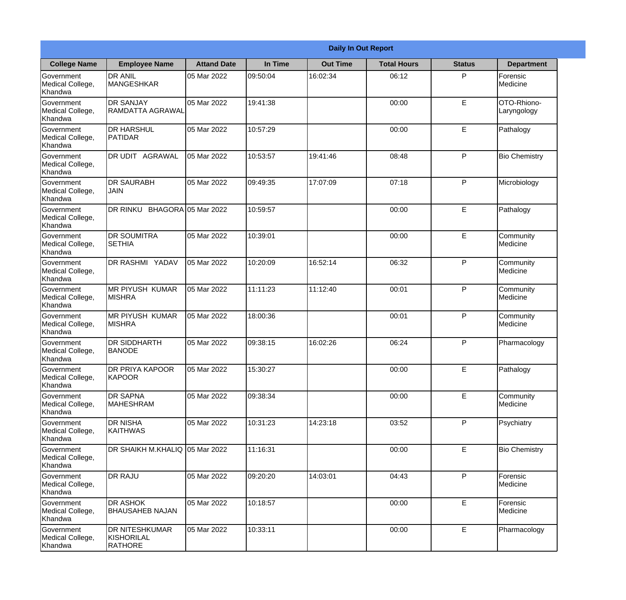|                                                  | <b>Daily In Out Report</b>                            |                    |          |                 |                    |               |                            |  |
|--------------------------------------------------|-------------------------------------------------------|--------------------|----------|-----------------|--------------------|---------------|----------------------------|--|
| <b>College Name</b>                              | <b>Employee Name</b>                                  | <b>Attand Date</b> | In Time  | <b>Out Time</b> | <b>Total Hours</b> | <b>Status</b> | <b>Department</b>          |  |
| Government<br>Medical College,<br>Khandwa        | <b>DR ANIL</b><br><b>MANGESHKAR</b>                   | 05 Mar 2022        | 09:50:04 | 16:02:34        | 06:12              | P             | Forensic<br>Medicine       |  |
| Government<br>Medical College,<br>Khandwa        | <b>DR SANJAY</b><br>RAMDATTA AGRAWAL                  | 05 Mar 2022        | 19:41:38 |                 | 00:00              | $\mathsf E$   | OTO-Rhiono-<br>Laryngology |  |
| <b>Government</b><br>Medical College,<br>Khandwa | <b>DR HARSHUL</b><br>PATIDAR                          | 05 Mar 2022        | 10:57:29 |                 | 00:00              | E             | Pathalogy                  |  |
| <b>Government</b><br>Medical College,<br>Khandwa | <b>DR UDIT AGRAWAL</b>                                | 05 Mar 2022        | 10:53:57 | 19:41:46        | 08:48              | P             | <b>Bio Chemistry</b>       |  |
| Government<br>Medical College,<br>Khandwa        | <b>DR SAURABH</b><br><b>JAIN</b>                      | 05 Mar 2022        | 09:49:35 | 17:07:09        | 07:18              | P             | Microbiology               |  |
| Government<br>Medical College,<br>Khandwa        | DR RINKU BHAGORA 05 Mar 2022                          |                    | 10:59:57 |                 | 00:00              | $\mathsf E$   | Pathalogy                  |  |
| <b>Government</b><br>Medical College,<br>Khandwa | <b>IDR SOUMITRA</b><br><b>SETHIA</b>                  | 05 Mar 2022        | 10:39:01 |                 | 00:00              | E             | Community<br>Medicine      |  |
| <b>Government</b><br>Medical College,<br>Khandwa | <b>DR RASHMI YADAV</b>                                | 05 Mar 2022        | 10:20:09 | 16:52:14        | 06:32              | P             | Community<br>Medicine      |  |
| Government<br>Medical College,<br>Khandwa        | <b>MR PIYUSH KUMAR</b><br><b>MISHRA</b>               | 05 Mar 2022        | 11:11:23 | 11:12:40        | 00:01              | P             | Community<br>Medicine      |  |
| Government<br>Medical College,<br>Khandwa        | <b>MR PIYUSH KUMAR</b><br><b>MISHRA</b>               | 05 Mar 2022        | 18:00:36 |                 | 00:01              | P             | Community<br>Medicine      |  |
| Government<br>Medical College,<br>Khandwa        | <b>DR SIDDHARTH</b><br><b>BANODE</b>                  | 05 Mar 2022        | 09:38:15 | 16:02:26        | 06:24              | P             | Pharmacology               |  |
| Government<br>Medical College,<br>Khandwa        | <b>DR PRIYA KAPOOR</b><br>KAPOOR                      | 05 Mar 2022        | 15:30:27 |                 | 00:00              | E             | Pathalogy                  |  |
| Government<br>Medical College,<br>Khandwa        | <b>DR SAPNA</b><br><b>MAHESHRAM</b>                   | 05 Mar 2022        | 09:38:34 |                 | 00:00              | E             | Community<br>Medicine      |  |
| Government<br>Medical College,<br>Khandwa        | <b>DR NISHA</b><br><b>KAITHWAS</b>                    | 05 Mar 2022        | 10:31:23 | 14:23:18        | 03:52              | P             | Psychiatry                 |  |
| Government<br>Medical College,<br>Khandwa        | IDR SHAIKH M.KHALIQ 105 Mar 2022                      |                    | 11:16:31 |                 | 00:00              | E             | <b>Bio Chemistry</b>       |  |
| Government<br>Medical College,<br>Khandwa        | <b>DR RAJU</b>                                        | 05 Mar 2022        | 09:20:20 | 14:03:01        | 04:43              | P             | Forensic<br>Medicine       |  |
| Government<br>Medical College,<br>Khandwa        | <b>DR ASHOK</b><br><b>BHAUSAHEB NAJAN</b>             | 05 Mar 2022        | 10:18:57 |                 | 00:00              | E             | Forensic<br>Medicine       |  |
| Government<br>Medical College,<br>Khandwa        | <b>DR NITESHKUMAR</b><br>KISHORILAL<br><b>RATHORE</b> | 05 Mar 2022        | 10:33:11 |                 | 00:00              | $\mathsf E$   | Pharmacology               |  |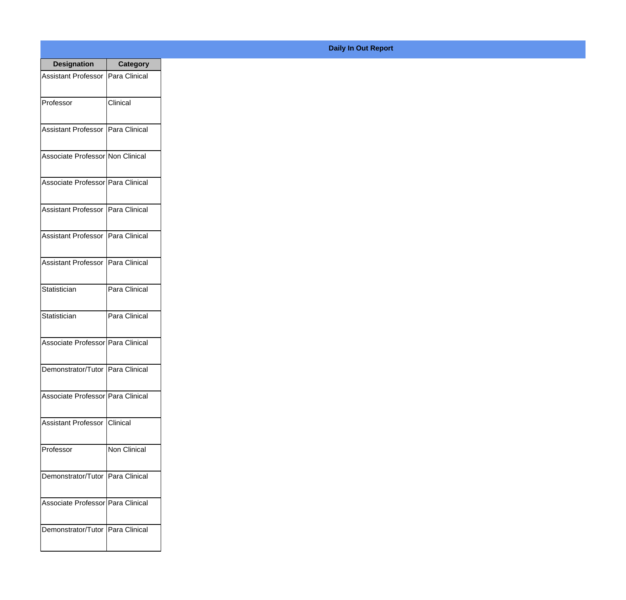| <b>Designation</b>                  | <b>Category</b> |
|-------------------------------------|-----------------|
| Assistant Professor   Para Clinical |                 |
| Professor                           | Clinical        |
| Assistant Professor   Para Clinical |                 |
| Associate Professor Non Clinical    |                 |
| Associate Professor   Para Clinical |                 |
| Assistant Professor   Para Clinical |                 |
| Assistant Professor   Para Clinical |                 |
| Assistant Professor   Para Clinical |                 |
| Statistician                        | Para Clinical   |
| Statistician                        | Para Clinical   |
| Associate Professor Para Clinical   |                 |
| Demonstrator/Tutor   Para Clinical  |                 |
| Associate Professor   Para Clinical |                 |
| Assistant Professor   Clinical      |                 |
| Professor                           | Non Clinical    |
| Demonstrator/Tutor   Para Clinical  |                 |
| Associate Professor   Para Clinical |                 |
| Demonstrator/Tutor   Para Clinical  |                 |

## **Daily In Out Report**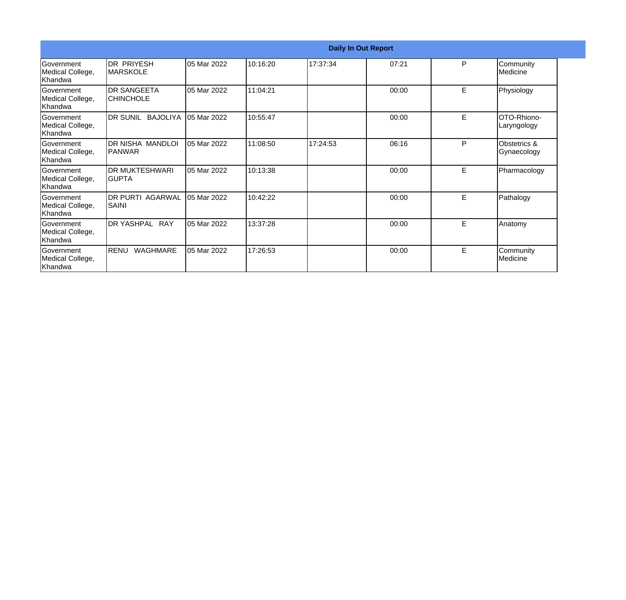|                                                  |                                        |             |          |          | <b>Daily In Out Report</b> |   |                             |
|--------------------------------------------------|----------------------------------------|-------------|----------|----------|----------------------------|---|-----------------------------|
| <b>Government</b><br>Medical College,<br>Khandwa | IDR PRIYESH<br><b>MARSKOLE</b>         | 05 Mar 2022 | 10:16:20 | 17:37:34 | 07:21                      | P | Community<br>Medicine       |
| Government<br>Medical College,<br>Khandwa        | <b>DR SANGEETA</b><br><b>CHINCHOLE</b> | 05 Mar 2022 | 11:04:21 |          | 00:00                      | E | Physiology                  |
| <b>Government</b><br>Medical College,<br>Khandwa | DR SUNIL BAJOLIYA                      | 05 Mar 2022 | 10:55:47 |          | 00:00                      | E | OTO-Rhiono-<br>Laryngology  |
| <b>Government</b><br>Medical College,<br>Khandwa | DR NISHA MANDLOI<br> PANWAR            | 05 Mar 2022 | 11:08:50 | 17:24:53 | 06:16                      | P | Obstetrics &<br>Gynaecology |
| Government<br>Medical College,<br>Khandwa        | <b>DR MUKTESHWARI</b><br>IGUPTA        | 05 Mar 2022 | 10:13:38 |          | 00:00                      | E | Pharmacology                |
| <b>Government</b><br>Medical College,<br>Khandwa | <b>DR PURTI AGARWAL</b><br>SAINI       | 05 Mar 2022 | 10:42:22 |          | 00:00                      | E | Pathalogy                   |
| <b>Government</b><br>Medical College,<br>Khandwa | DR YASHPAL RAY                         | 05 Mar 2022 | 13:37:28 |          | 00:00                      | E | Anatomy                     |
| Government<br>Medical College,<br>Khandwa        | <b>RENU</b><br>WAGHMARE                | 05 Mar 2022 | 17:26:53 |          | 00:00                      | E | Community<br>Medicine       |